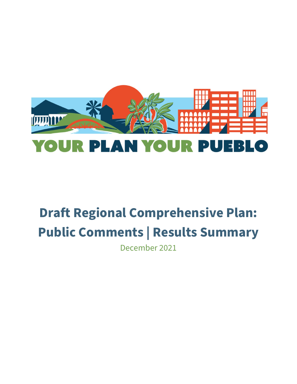

## **Draft Regional Comprehensive Plan: Public Comments | Results Summary**

December 2021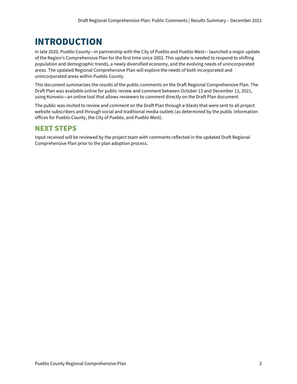## **INTRODUCTION**

In late 2020, Pueblo County—in partnership with the City of Pueblo and Pueblo West— launched a major update of the Region's Comprehensive Plan for the first time since 2002. This update is needed to respond to shifting population and demographic trends, a newly diversified economy, and the evolving needs of unincorporated areas. The updated Regional Comprehensive Plan will explore the needs of both incorporated and unincorporated areas within Pueblo County.

This document summarizes the results of the public comments on the Draft Regional Comprehensive Plan. The Draft Plan was available online for public review and comment between October 13 and December 13, 2021, using Konveio—an online tool that allows reviewers to comment directly on the Draft Plan document.

The public was invited to review and comment on the Draft Plan through e-blasts that were sent to all project website subscribers and through social and traditional media outlets (as determined by the public information offices for Pueblo County, the City of Pueblo, and Pueblo West).

## **NEXT STEPS**

Input received will be reviewed by the project team with comments reflected in the updated Draft Regional Comprehensive Plan prior to the plan adoption process.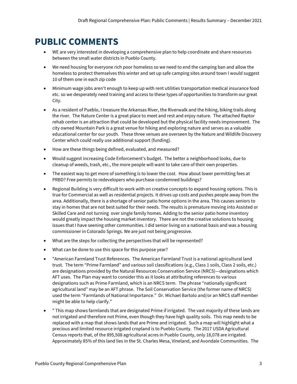## **PUBLIC COMMENTS**

- WE are very interested in developing a comprehensive plan to help coordinate and share resources between the small water districts in Pueblo County.
- We need housing for everyone rich poor homeless so we need to end the camping ban and allow the homeless to protect themselves this winter and set up safe camping sites around town I would suggest 10 of them one in each zip code
- Minimum wage jobs aren't enough to keep up with rent utilities transportation medical insurance food etc. so we desperately need training and access to these types of opportunities to transform our great City.
- As a resident of Pueblo, I treasure the Arkansas River, the Riverwalk and the hiking, biking trails along the river. The Nature Center is a great place to meet and rest and enjoy nature. The attached Raptor rehab center is an attraction that could be developed but the physical facility needs improvement. The city owned Mountain Park is a great venue for hiking and exploring nature and serves as a valuable educational center for our youth. These three venues are overseen by the Nature and Wildlife Discovery Center which could really use additional support (funding).
- How are these things being defined, evaluated, and measured?
- Would suggest increasing Code Enforcement's budget. The better a neighborhood looks, due to cleanup of weeds, trash, etc., the more people will want to take care of their own properties.
- The easiest way to get more of something is to lower the cost. How about lower permitting fees at PRBD? Free permits to redevelopers who purchase condemned buildings?
- Regional Building is very difficult to work with on creative concepts to expand housing options. This is true for Commercial as well as residential projects. It drives up costs and pushes people away from the area. Additionally, there is a shortage of senior patio home options in the area. This causes seniors to stay in homes that are not best suited for their needs. The results is premature moving into Assisted or Skilled Care and not turning over single family homes. Adding to the senior patio home inventory would greatly impact the housing market inventory. There are not the creative solutions to housing issues that I have seening other communities. I did senior living on a national basis and was a housing commissioner in Colorado Springs. We are just not being progressive.
- What are the steps for collecting the perspectives that will be represented?
- What can be done to use this space for this purpose year?
- "American Farmland Trust References. The American Farmland Trust is a national agricultural land trust. The term "Prime Farmland" and various soil classifications (e.g., Class 1 soils, Class 2 soils, etc.) are designations provided by the Natural Resources Conservation Service (NRCS)—designations which AFT uses. The Plan may want to consider this as it looks at attributing references to various designations such as Prime Farmland, which is an NRCS term. The phrase "nationally significant agricultural land" may be an AFT phrase. The Soil Conservation Service (the former name of NRCS) used the term "Farmlands of National Importance." Dr. Michael Bartolo and/or an NRCS staff member might be able to help clarify."
- " This map shows farmlands that are designated Prime if irrigated. The vast majority of these lands are not irrigated and therefore not Prime, even though they have high quality soils. This map needs to be replaced with a map that shows lands that are Prime and irrigated. Such a map will highlight what a precious and limited resource irrigated cropland is to Pueblo County. The 2017 USDA Agricultural Census reports that, of the 895,508 agricultural acres in Pueblo County, only 18,078 are irrigated. Approximately 85% of this land lies in the St. Charles Mesa, Vineland, and Avondale Communities. The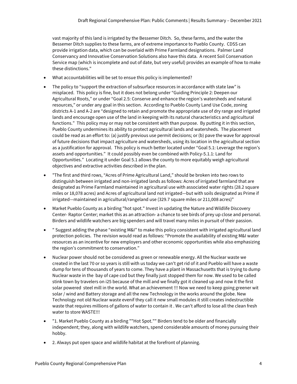vast majority of this land is irrigated by the Bessemer Ditch. So, these farms, and the water the Bessemer Ditch supplies to these farms, are of extreme importance to Pueblo County. CDSS can provide irrigation data, which can be overlaid with Prime Farmland designations. Palmer Land Conservancy and Innovative Conservation Solutions also have this data. A recent Soil Conservation Service map (which is incomplete and out of date, but very useful) provides an example of how to make these distinctions."

- What accountabilities will be set to ensue this policy is implemented?
- The policy to "support the extraction of subsurface resources in accordance with state law" is misplaced. This policy is fine, but it does not belong under "Guiding Principle 2: Deepen our Agricultural Roots," or under "Goal 2.5: Conserve and enhance the region's watersheds and natural resources," or under any goal in this section. According to Pueblo County Land Use Code, zoning districts A-1 and A-2 are "designed to retain and promote the appropriate use of dry range and irrigated lands and encourage open use of the land in keeping with its natural characteristics and agricultural functions." This policy may or may not be consistent with than purpose. By putting it in this section, Pueblo County undermines its ability to protect agricultural lands and watersheds. The placement could be read as an effort to: (a) justify previous use permit decisions; or (b) pave the wave for approval of future decisions that impact agriculture and watersheds, using its location in the agricultural section as a justification for approval. This policy is much better located under "Goal 5.1: Leverage the region's assets and opportunities." It could possibly even be combined with Policy-5.1.1: Land for Opportunities." Locating it under Goal 5.1 allows the county to more equitably weigh agricultural objectives and extractive activities described in the plan.
- "The first and third rows, "Acres of Prime Agricultural Land," should be broken into two rows to distinguish between irrigated and non-irrigated lands as follows: Acres of irrigated farmland that are designated as Prime Farmland maintained in agricultural use with associated water rights (28.2 square miles or 18,078 acres) and Acres of agricultural land not irrigated—but with soils designated as Prime if irrigated—maintained in agricultural/rangeland use (329.7 square miles or 211,008 acres)"
- Market Pueblo County as a birding "hot spot." Invest in updating the Nature and Wildlife Discovery Center- Raptor Center; market this as an attraction- a chance to see birds of prey up close and personal. Birders and wildlife watchers are big spenders and will travel many miles in pursuit of their passion.
- " Suggest adding the phase "existing M&I" to make this policy consistent with irrigated agricultural land protection policies. The revision would read as follows: "Promote the availability of existing M&I water resources as an incentive for new employers and other economic opportunities while also emphasizing the region's commitment to conservation."
- Nuclear power should not be considered as green or renewable energy. All the Nuclear waste we created in the last 70 or so years is still with us today we can't get rid of it and Pueblo will have a waste dump for tens of thousands of years to come. They have a plant in Massachusetts that is trying to dump Nuclear waste in the bay of cape cod but they finally just stopped them for now. We used to be called stink town by travelers on i25 because of the mill and we finally got it cleaned up and now it the first solar powered steel mill in the world. What an achievement !!! Now we need to keep going greener wit solar / wind and Battery storage and all the new Technology in the works around the globe. New Technology not old Nuclear waste evenif they call it new small modules it still creates indestructible waste that requires millions of gallons of water to contain it . We can't afford to lose all the clean fresh water to store WASTE!!!
- "1. Market Pueblo County as a birding ""Hot Spot."" Birders tend to be older and financially independent; they, along with wildlife watchers, spend considerable amounts of money pursuing their hobby.
- 2. Always put open space and wildlife habitat at the forefront of planning.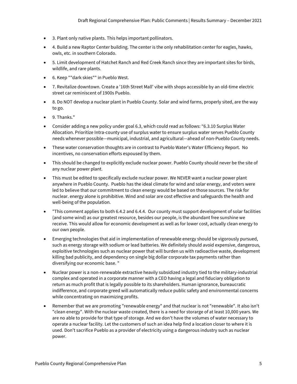- 3. Plant only native plants. This helps important pollinators.
- 4. Build a new Raptor Center building. The center is the only rehabilitation center for eagles, hawks, owls, etc. in southern Colorado.
- 5. Limit development of Hatchet Ranch and Red Creek Ranch since they are important sites for birds, wildlife, and rare plants.
- 6. Keep ""dark skies"" in Pueblo West.
- 7. Revitalize downtown. Create a '16th Street Mall' vibe with shops accessible by an old-time electric street car reminiscent of 1900s Pueblo.
- 8. Do NOT develop a nuclear plant in Pueblo County. Solar and wind farms, properly sited, are the way to go.
- 9. Thanks."
- Consider adding a new policy under goal 6.3, which could read as follows: "6.3.10 Surplus Water Allocation. Prioritize Intra-county use of surplus water to ensure surplus water serves Pueblo County needs whenever possible—municipal, industrial, and agricultural—ahead of non-Pueblo County needs.
- These water conservation thoughts are in contrast to Pueblo Water's Water Efficiency Report. No incentives, no conservation efforts espoused by them.
- This should be changed to explicitly exclude nuclear power. Pueblo County should never be the site of any nuclear power plant.
- This must be edited to specifically exclude nuclear power. We NEVER want a nuclear power plant anywhere in Pueblo County. Pueblo has the ideal climate for wind and solar energy, and voters were led to believe that our commitment to clean energy would be based on those sources. The risk for nuclear. energy alone is prohibitive. Wind and solar are cost effective and safeguards the health and well-being of the population.
- "This comment applies to both 6.4.2 and 6.4.4. Our county must support development of solar facilities (and some wind) as our greatest resource, besides our people, is the abundant free sunshine we receive. This would allow for economic development as well as for lower cost, actually clean energy to our own people.
- Emerging technologies that aid in implementation of renewable energy should be vigorously pursued, such as energy storage with sodium or lead batteries. We definitely should avoid expensive, dangerous, exploitive technologies such as nuclear power that will burden us with radioactive waste, development killing bad publicity, and dependency on single big dollar corporate tax payments rather than diversifying our economic base. "
- Nuclear power is a non-renewable extractive heavily subsidized industry tied to the military-industrial complex and operated in a corporate manner with a CEO having a legal and fiduciary obligation to return as much profit that is legally possible to its shareholders. Human ignorance, bureaucratic indifference, and corporate greed will automatically reduce public safety and environmental concerns while concentrating on maximizing profits.
- Remember that we are promoting "renewable energy" and that nuclear is not "renewable". It also isn't "clean energy". With the nuclear waste created, there is a need for storarge of at least 10,000 years. We are no able to provide for that type of storage. And we don't have the volumes of water necessary to operate a nuclear facility. Let the customers of such an idea help find a location closer to where it is used. Don't sacrifice Pueblo as a provider of electricity using a dangerous industry such as nuclear power.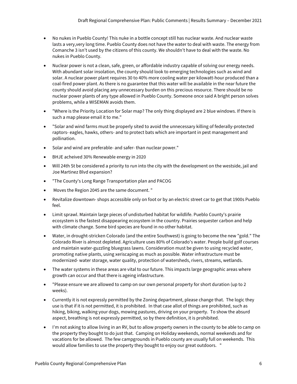- No nukes in Pueblo County! This nuke in a bottle concept still has nuclear waste. And nuclear waste lasts a very,very long time. Pueblo County does not have the water to deal with waste. The energy from Comanche 3 isn't used by the citizens of this county. We shouldn't have to deal with the waste. No nukes in Pueblo County.
- Nuclear power is not a clean, safe, green, or affordable industry capable of solving our energy needs. With abundant solar insolation, the county should look to emerging technologies such as wind and solar. A nuclear power plant requires 30 to 40% more cooling water per kilowatt-hour produced than a coal-fired power plant. As there is no guarantee that this water will be available in the near future the county should avoid placing any unnecessary burden on this precious resource. There should be no nuclear power plants of any type allowed in Pueblo County. Someone once said A bright person solves problems, while a WISEMAN avoids them.
- "Where is the Priority Location for Solar map? The only thing displayed are 2 blue windows. If there is such a map please email it to me."
- "Solar and wind farms must be properly sited to avoid the unnecessary killing of federally-protected raptors- eagles, hawks, others- and to protect bats which are important in pest management and pollination.
- Solar and wind are preferable- and safer- than nuclear power."
- BHJE acheived 30% Renewable energy in 2020
- Will 24th St be considered a priority to run into the city with the development on the westside, jail and Joe Martinez Blvd expansion?
- "The County's Long Range Transportation plan and PACOG
- Moves the Region 2045 are the same document. "
- Revitalize downtown- shops accessible only on foot or by an electric street car to get that 1900s Pueblo feel.
- Limit sprawl. Maintain large pieces of undisturbed habitat for wildlife. Pueblo County's prairie ecosystem is the fastest disappearing ecosystem in the country. Prairies sequester carbon and help with climate change. Some bird species are found in no other habitat.
- Water, in drought-stricken Colorado (and the entire Southwest) is going to become the new "gold." The Colorado River is almost depleted. Agriculture uses 80% of Colorado's water. People build golf courses and maintain water-guzzling bluegrass lawns. Consideration must be given to using recycled water, promoting native plants, using xeriscaping as much as possible. Water infrastructure must be modernized- water storage, water quality, protection of watersheds, rivers, streams, wetlands.
- The water systems in these areas are vital to our future. This impacts large geographic areas where growth can occur and that there is ageing infastructure.
- "Please ensure we are allowed to camp on our own personal property for short duration (up to 2 weeks).
- Currently it is not expressly permitted by the Zoning department, please change that. The logic they use is that if it is not permitted, it is prohibited. In that case allot of things are prohibited, such as hiking, biking, walking your dogs, mowing pastures, driving on your property. To show the absurd aspect, breathing is not expressly permitted, so by there definition, it is prohibited.
- I'm not asking to allow living in an RV, but to allow property owners in the county to be able to camp on the property they bought to do just that. Camping on Holiday weekends, normal weekends and for vacations for be allowed. The few campgrounds in Pueblo county are usually full on weekends. This would allow families to use the property they bought to enjoy our great outdoors. "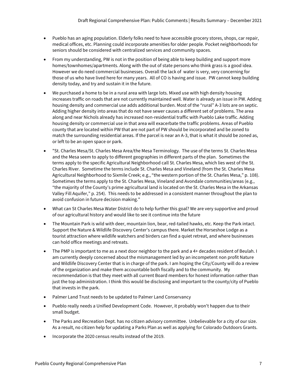- Pueblo has an aging population. Elderly folks need to have accessible grocery stores, shops, car repair, medical offices, etc. Planning could incorporate amenities for older people. Pocket neighborhoods for seniors should be considered with centralized services and community spaces.
- From my understanding, PW is not in the position of being able to keep building and support more homes/townhomes/apartments. Along with the out of state persons who think grass is a good idea. However we do need commercial businesses. Overall the lack of water is very, very concerning for those of us who have lived here for many years. All of CO is having and issue. PW cannot keep building density today, and try and sustain it in the future.
- We purchased a home to be in a rural area with large lots. Mixed use with high density housing increases traffic on roads that are not currently maintained well. Water is already an issue in PW. Adding housing density and commercial use adds additional burden. Most of the "rural" A-3 lots are on septic. Adding higher density into areas that do not have sewer causes a different set of problems. The area along and near Nichols already has increased non-residential traffic with Pueblo Lake traffic. Adding housing density or commercial use in that area will exacerbate the traffic problems. Areas of Pueblo county that are located within PW that are not part of PW should be incorporated and be zoned to match the surrounding residential areas. If the parcel is near an A-3, that is what it should be zoned as, or left to be an open space or park.
- "St. Charles Mesa/St. Charles Mesa Area/the Mesa Terminology. The use of the terms St. Charles Mesa and the Mesa seem to apply to different geographies in different parts of the plan. Sometimes the terms apply to the specific Agricultural Neighborhood call St. Charles Mesa, which lies west of the St. Charles River. Sometime the terms include St. Charles Mesa and Vineland (from the St. Charles Mesa Agricultural Neighborhood to Sixmile Creek; e.g., "the western portion of the St. Charles Mesa," p. 108). Sometimes the terms apply to the St. Charles Mesa, Vineland and Avondale communities/areas (e.g., "the majority of the County's prime agricultural land is located on the St. Charles Mesa in the Arkansas Valley Fill Aquifer," p. 254). This needs to be addressed in a consistent manner throughout the plan to avoid confusion in future decision making."
- What can St Charles Mesa Water District do to help further this goal? We are very supportive and proud of our agricultural history and would like to see it continue into the future
- The Mountain Park is wild with deer, mountain lion, bear, red-tailed hawks, etc. Keep the Park intact. Support the Nature & Wildlife Discovery Center's campus there. Market the Horseshoe Lodge as a tourist attraction where wildlife watchers and birders can find a quiet retreat, and where businesses can hold office meetings and retreats.
- The PMP is important to me as a next door neighbor to the park and a 4+ decades resident of Beulah. I am currently deeply concerned about the mismanagement led by an incompetent non profit Nature and Wildlife Discovery Center that is in charge of the park. I am hoping the City/County will do a review of the organization and make them accountable both fiscally and to the community. My recommendation is that they meet with all current Board members for honest information rather than just the top administration. I think this would be disclosing and important to the county/city of Pueblo that invests in the park.
- Palmer Land Trust needs to be updated to Palmer Land Conservancy
- Pueblo really needs a Unified Development Code. However, it probably won't happen due to their small budget.
- The Parks and Recreation Dept. has no citizen advisory committee. Unbelievable for a city of our size. As a result, no citizen help for updating a Parks Plan as well as applying for Colorado Outdoors Grants.
- Incorporate the 2020 census results instead of the 2019.